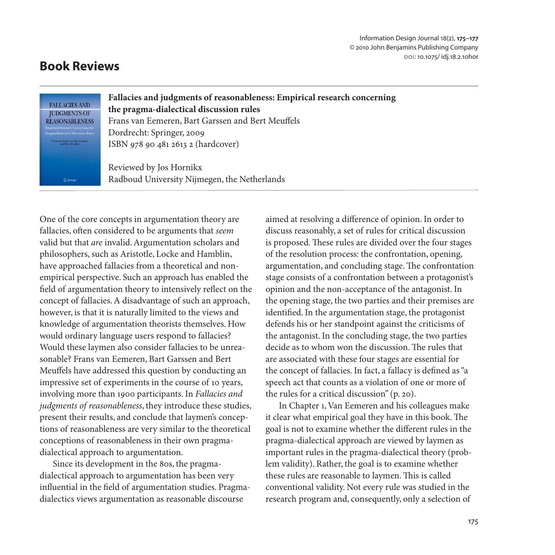## Information Design Journal 18(2), 175-177 © 2010 John Benjamins Publishing Company DOI: 10.1075/idj.18.2.10hor

## **Book Reviews**

FALI **IUD REAS** 

| <b>ACIES AND</b><br><b>SMENTS OF</b><br><b>NABLENESS</b><br>esearch Concerning the<br>lectical Discussion Rules<br>Eemeren, Bart Garssen<br>nd Bert Meuffels | Fallacies and judgments of reasonableness: Empirical research concerning<br>the pragma-dialectical discussion rules<br>Frans van Eemeren, Bart Garssen and Bert Meuffels<br>Dordrecht: Springer, 2009<br>ISBN 978 90 481 2613 2 (hardcover) |
|--------------------------------------------------------------------------------------------------------------------------------------------------------------|---------------------------------------------------------------------------------------------------------------------------------------------------------------------------------------------------------------------------------------------|
| Springer                                                                                                                                                     | Reviewed by Jos Hornikx<br>Radboud University Nijmegen, the Netherlands                                                                                                                                                                     |

One of the core concepts in argumentation theory are fallacies, often considered to be arguments that seem valid but that *are* invalid. Argumentation scholars and philosophers, such as Aristotle, Locke and Hamblin, have approached fallacies from a theoretical and nonempirical perspective. Such an approach has enabled the field of argumentation theory to intensively reflect on the concept of fallacies. A disadvantage of such an approach, however, is that it is naturally limited to the views and knowledge of argumentation theorists themselves. How would ordinary language users respond to fallacies? Would these laymen also consider fallacies to be unreasonable? Frans van Eemeren, Bart Garssen and Bert Meuffels have addressed this question by conducting an impressive set of experiments in the course of 10 years, involving more than 1900 participants. In Fallacies and judgments of reasonableness, they introduce these studies, present their results, and conclude that laymen's conceptions of reasonableness are very similar to the theoretical conceptions of reasonableness in their own pragmadialectical approach to argumentation.

Since its development in the 80s, the pragmadialectical approach to argumentation has been very influential in the field of argumentation studies. Pragmadialectics views argumentation as reasonable discourse

aimed at resolving a difference of opinion. In order to discuss reasonably, a set of rules for critical discussion is proposed. These rules are divided over the four stages of the resolution process: the confrontation, opening, argumentation, and concluding stage. The confrontation stage consists of a confrontation between a protagonist's opinion and the non-acceptance of the antagonist. In the opening stage, the two parties and their premises are identified. In the argumentation stage, the protagonist defends his or her standpoint against the criticisms of the antagonist. In the concluding stage, the two parties decide as to whom won the discussion. The rules that are associated with these four stages are essential for the concept of fallacies. In fact, a fallacy is defined as "a speech act that counts as a violation of one or more of the rules for a critical discussion" (p. 20).

In Chapter 1, Van Eemeren and his colleagues make it clear what empirical goal they have in this book. The goal is not to examine whether the different rules in the pragma-dialectical approach are viewed by laymen as important rules in the pragma-dialectical theory (problem validity). Rather, the goal is to examine whether these rules are reasonable to laymen. This is called conventional validity. Not every rule was studied in the research program and, consequently, only a selection of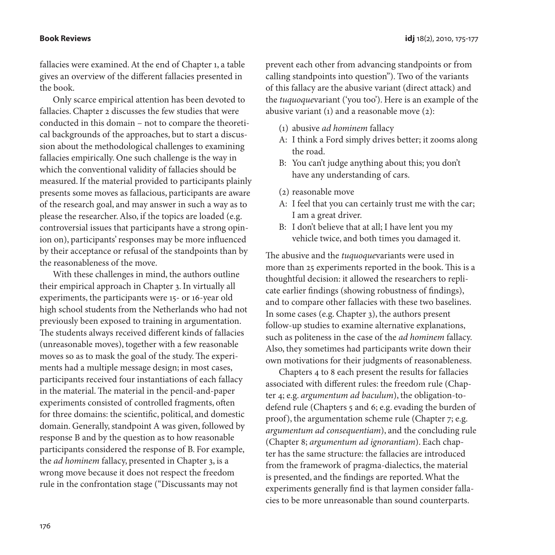## **Book Reviews**

fallacies were examined. At the end of Chapter 1, a table gives an overview of the different fallacies presented in the book.

Only scarce empirical attention has been devoted to fallacies. Chapter 2 discusses the few studies that were conducted in this domain - not to compare the theoretical backgrounds of the approaches, but to start a discussion about the methodological challenges to examining fallacies empirically. One such challenge is the way in which the conventional validity of fallacies should be measured. If the material provided to participants plainly presents some moves as fallacious, participants are aware of the research goal, and may answer in such a way as to please the researcher. Also, if the topics are loaded (e.g. controversial issues that participants have a strong opinion on), participants' responses may be more influenced by their acceptance or refusal of the standpoints than by the reasonableness of the move.

With these challenges in mind, the authors outline their empirical approach in Chapter 3. In virtually all experiments, the participants were 15- or 16-year old high school students from the Netherlands who had not previously been exposed to training in argumentation. The students always received different kinds of fallacies (unreasonable moves), together with a few reasonable moves so as to mask the goal of the study. The experiments had a multiple message design; in most cases, participants received four instantiations of each fallacy in the material. The material in the pencil-and-paper experiments consisted of controlled fragments, often for three domains: the scientific, political, and domestic domain. Generally, standpoint A was given, followed by response B and by the question as to how reasonable participants considered the response of B. For example, the *ad hominem* fallacy, presented in Chapter 3, is a wrong move because it does not respect the freedom rule in the confrontation stage ("Discussants may not

prevent each other from advancing standpoints or from calling standpoints into question"). Two of the variants of this fallacy are the abusive variant (direct attack) and the tuquoquevariant ('you too'). Here is an example of the abusive variant  $(1)$  and a reasonable move  $(2)$ :

- (1) abusive ad hominem fallacy
- A: I think a Ford simply drives better; it zooms along the road.
- B: You can't judge anything about this; you don't have any understanding of cars.
- (2) reasonable move
- A: I feel that you can certainly trust me with the car; I am a great driver.
- B: I don't believe that at all; I have lent you my vehicle twice, and both times you damaged it.

The abusive and the tuquoquevariants were used in more than 25 experiments reported in the book. This is a thoughtful decision: it allowed the researchers to replicate earlier findings (showing robustness of findings), and to compare other fallacies with these two baselines. In some cases (e.g. Chapter 3), the authors present follow-up studies to examine alternative explanations, such as politeness in the case of the *ad hominem* fallacy. Also, they sometimes had participants write down their own motivations for their judgments of reasonableness.

Chapters 4 to 8 each present the results for fallacies associated with different rules: the freedom rule (Chapter 4; e.g. argumentum ad baculum), the obligation-todefend rule (Chapters 5 and 6; e.g. evading the burden of proof), the argumentation scheme rule (Chapter 7; e.g. argumentum ad consequentiam), and the concluding rule (Chapter 8; argumentum ad ignorantiam). Each chapter has the same structure: the fallacies are introduced from the framework of pragma-dialectics, the material is presented, and the findings are reported. What the experiments generally find is that laymen consider fallacies to be more unreasonable than sound counterparts.